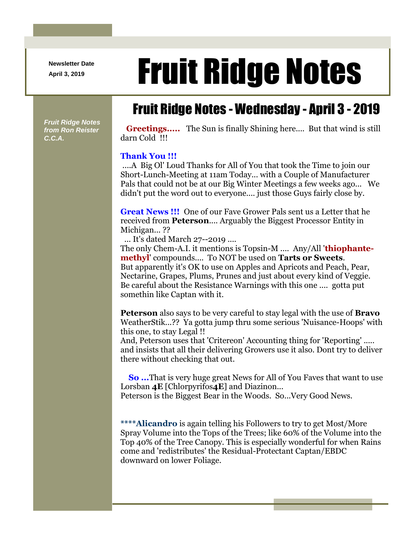**Newsletter Date**

# April 3, 2019 **Fruit Ridge Notes**

## Fruit Ridge Notes - Wednesday - April 3 - 2019

*Fruit Ridge Notes from Ron Reister C.C.A.*

**Greetings.....** The Sun is finally Shining here.... But that wind is still darn Cold !!!

#### **Thank You !!!**

....A Big Ol' Loud Thanks for All of You that took the Time to join our Short-Lunch-Meeting at 11am Today... with a Couple of Manufacturer Pals that could not be at our Big Winter Meetings a few weeks ago... We didn't put the word out to everyone.... just those Guys fairly close by.

**Great News !!!** One of our Fave Grower Pals sent us a Letter that he received from **Peterson**.... Arguably the Biggest Processor Entity in Michigan...??

... It's dated March 27--2019 ....

The only Chem-A.I. it mentions is Topsin-M .... Any/All '**thiophantemethyl**' compounds.... To NOT be used on **Tarts or Sweets**. But apparently it's OK to use on Apples and Apricots and Peach, Pear, Nectarine, Grapes, Plums, Prunes and just about every kind of Veggie. Be careful about the Resistance Warnings with this one .... gotta put somethin like Captan with it.

**Peterson** also says to be very careful to stay legal with the use of **Bravo** WeatherStik...?? Ya gotta jump thru some serious 'Nuisance-Hoops' with this one, to stay Legal !!

And, Peterson uses that 'Critereon' Accounting thing for 'Reporting' ..... and insists that all their delivering Growers use it also. Dont try to deliver there without checking that out.

**So ...**That is very huge great News for All of You Faves that want to use Lorsban **4E** [Chlorpyrifos**4E**] and Diazinon... Peterson is the Biggest Bear in the Woods. So...Very Good News.

**\*\*\*\*Alicandro** is again telling his Followers to try to get Most/More Spray Volume into the Tops of the Trees; like 60% of the Volume into the Top 40% of the Tree Canopy. This is especially wonderful for when Rains come and 'redistributes' the Residual-Protectant Captan/EBDC downward on lower Foliage.